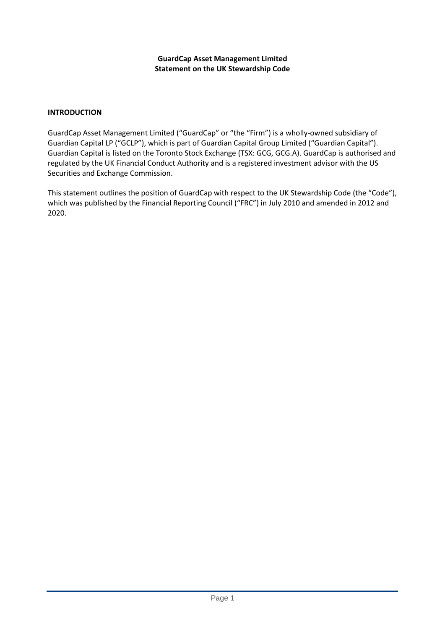### **GuardCap Asset Management Limited Statement on the UK Stewardship Code**

### **INTRODUCTION**

GuardCap Asset Management Limited ("GuardCap" or "the "Firm") is a wholly-owned subsidiary of Guardian Capital LP ("GCLP"), which is part of Guardian Capital Group Limited ("Guardian Capital"). Guardian Capital is listed on the Toronto Stock Exchange (TSX: GCG, GCG.A). GuardCap is authorised and regulated by the UK Financial Conduct Authority and is a registered investment advisor with the US Securities and Exchange Commission.

This statement outlines the position of GuardCap with respect to the UK Stewardship Code (the "Code"), which was published by the Financial Reporting Council ("FRC") in July 2010 and amended in 2012 and 2020.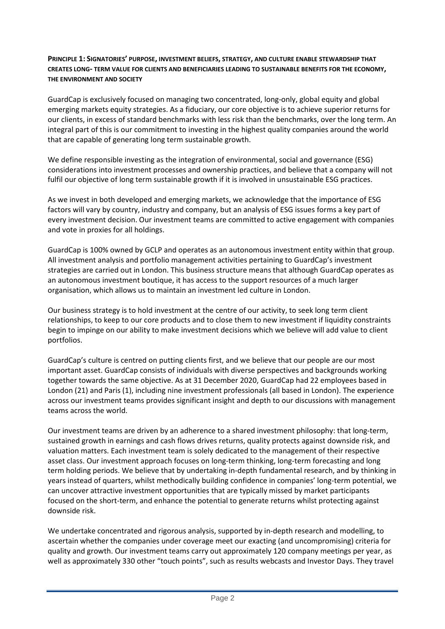## **PRINCIPLE 1: SIGNATORIES' PURPOSE, INVESTMENT BELIEFS, STRATEGY, AND CULTURE ENABLE STEWARDSHIP THAT CREATES LONG- TERM VALUE FOR CLIENTS AND BENEFICIARIES LEADING TO SUSTAINABLE BENEFITS FOR THE ECONOMY, THE ENVIRONMENT AND SOCIETY**

GuardCap is exclusively focused on managing two concentrated, long-only, global equity and global emerging markets equity strategies. As a fiduciary, our core objective is to achieve superior returns for our clients, in excess of standard benchmarks with less risk than the benchmarks, over the long term. An integral part of this is our commitment to investing in the highest quality companies around the world that are capable of generating long term sustainable growth.

We define responsible investing as the integration of environmental, social and governance (ESG) considerations into investment processes and ownership practices, and believe that a company will not fulfil our objective of long term sustainable growth if it is involved in unsustainable ESG practices.

As we invest in both developed and emerging markets, we acknowledge that the importance of ESG factors will vary by country, industry and company, but an analysis of ESG issues forms a key part of every investment decision. Our investment teams are committed to active engagement with companies and vote in proxies for all holdings.

GuardCap is 100% owned by GCLP and operates as an autonomous investment entity within that group. All investment analysis and portfolio management activities pertaining to GuardCap's investment strategies are carried out in London. This business structure means that although GuardCap operates as an autonomous investment boutique, it has access to the support resources of a much larger organisation, which allows us to maintain an investment led culture in London.

Our business strategy is to hold investment at the centre of our activity, to seek long term client relationships, to keep to our core products and to close them to new investment if liquidity constraints begin to impinge on our ability to make investment decisions which we believe will add value to client portfolios.

GuardCap's culture is centred on putting clients first, and we believe that our people are our most important asset. GuardCap consists of individuals with diverse perspectives and backgrounds working together towards the same objective. As at 31 December 2020, GuardCap had 22 employees based in London (21) and Paris (1), including nine investment professionals (all based in London). The experience across our investment teams provides significant insight and depth to our discussions with management teams across the world.

Our investment teams are driven by an adherence to a shared investment philosophy: that long-term, sustained growth in earnings and cash flows drives returns, quality protects against downside risk, and valuation matters. Each investment team is solely dedicated to the management of their respective asset class. Our investment approach focuses on long-term thinking, long-term forecasting and long term holding periods. We believe that by undertaking in-depth fundamental research, and by thinking in years instead of quarters, whilst methodically building confidence in companies' long-term potential, we can uncover attractive investment opportunities that are typically missed by market participants focused on the short-term, and enhance the potential to generate returns whilst protecting against downside risk.

We undertake concentrated and rigorous analysis, supported by in-depth research and modelling, to ascertain whether the companies under coverage meet our exacting (and uncompromising) criteria for quality and growth. Our investment teams carry out approximately 120 company meetings per year, as well as approximately 330 other "touch points", such as results webcasts and Investor Days. They travel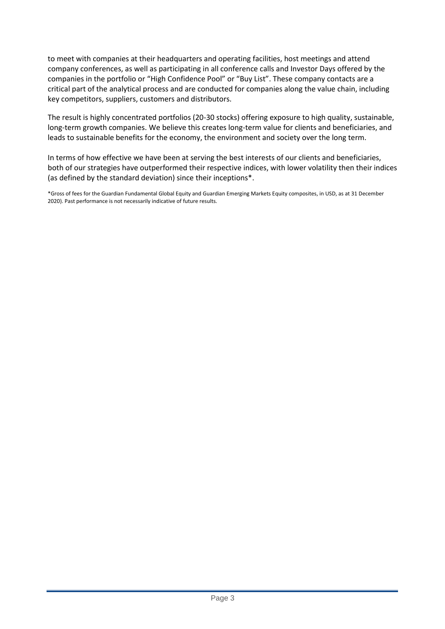to meet with companies at their headquarters and operating facilities, host meetings and attend company conferences, as well as participating in all conference calls and Investor Days offered by the companies in the portfolio or "High Confidence Pool" or "Buy List". These company contacts are a critical part of the analytical process and are conducted for companies along the value chain, including key competitors, suppliers, customers and distributors.

The result is highly concentrated portfolios (20-30 stocks) offering exposure to high quality, sustainable, long-term growth companies. We believe this creates long-term value for clients and beneficiaries, and leads to sustainable benefits for the economy, the environment and society over the long term.

In terms of how effective we have been at serving the best interests of our clients and beneficiaries, both of our strategies have outperformed their respective indices, with lower volatility then their indices (as defined by the standard deviation) since their inceptions\*.

\*Gross of fees for the Guardian Fundamental Global Equity and Guardian Emerging Markets Equity composites, in USD, as at 31 December 2020). Past performance is not necessarily indicative of future results.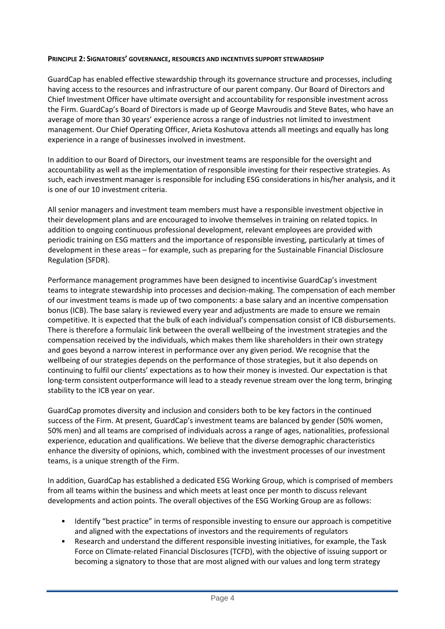### **PRINCIPLE 2: SIGNATORIES' GOVERNANCE, RESOURCES AND INCENTIVES SUPPORT STEWARDSHIP**

GuardCap has enabled effective stewardship through its governance structure and processes, including having access to the resources and infrastructure of our parent company. Our Board of Directors and Chief Investment Officer have ultimate oversight and accountability for responsible investment across the Firm. GuardCap's Board of Directors is made up of George Mavroudis and Steve Bates, who have an average of more than 30 years' experience across a range of industries not limited to investment management. Our Chief Operating Officer, Arieta Koshutova attends all meetings and equally has long experience in a range of businesses involved in investment.

In addition to our Board of Directors, our investment teams are responsible for the oversight and accountability as well as the implementation of responsible investing for their respective strategies. As such, each investment manager is responsible for including ESG considerations in his/her analysis, and it is one of our 10 investment criteria.

All senior managers and investment team members must have a responsible investment objective in their development plans and are encouraged to involve themselves in training on related topics. In addition to ongoing continuous professional development, relevant employees are provided with periodic training on ESG matters and the importance of responsible investing, particularly at times of development in these areas – for example, such as preparing for the Sustainable Financial Disclosure Regulation (SFDR).

Performance management programmes have been designed to incentivise GuardCap's investment teams to integrate stewardship into processes and decision-making. The compensation of each member of our investment teams is made up of two components: a base salary and an incentive compensation bonus (ICB). The base salary is reviewed every year and adjustments are made to ensure we remain competitive. It is expected that the bulk of each individual's compensation consist of ICB disbursements. There is therefore a formulaic link between the overall wellbeing of the investment strategies and the compensation received by the individuals, which makes them like shareholders in their own strategy and goes beyond a narrow interest in performance over any given period. We recognise that the wellbeing of our strategies depends on the performance of those strategies, but it also depends on continuing to fulfil our clients' expectations as to how their money is invested. Our expectation is that long-term consistent outperformance will lead to a steady revenue stream over the long term, bringing stability to the ICB year on year.

GuardCap promotes diversity and inclusion and considers both to be key factors in the continued success of the Firm. At present, GuardCap's investment teams are balanced by gender (50% women, 50% men) and all teams are comprised of individuals across a range of ages, nationalities, professional experience, education and qualifications. We believe that the diverse demographic characteristics enhance the diversity of opinions, which, combined with the investment processes of our investment teams, is a unique strength of the Firm.

In addition, GuardCap has established a dedicated ESG Working Group, which is comprised of members from all teams within the business and which meets at least once per month to discuss relevant developments and action points. The overall objectives of the ESG Working Group are as follows:

- Identify "best practice" in terms of responsible investing to ensure our approach is competitive and aligned with the expectations of investors and the requirements of regulators
- Research and understand the different responsible investing initiatives, for example, the Task Force on Climate-related Financial Disclosures (TCFD), with the objective of issuing support or becoming a signatory to those that are most aligned with our values and long term strategy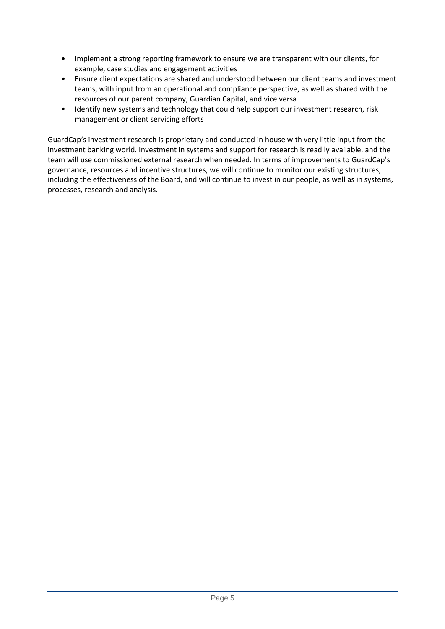- Implement a strong reporting framework to ensure we are transparent with our clients, for example, case studies and engagement activities
- Ensure client expectations are shared and understood between our client teams and investment teams, with input from an operational and compliance perspective, as well as shared with the resources of our parent company, Guardian Capital, and vice versa
- Identify new systems and technology that could help support our investment research, risk management or client servicing efforts

GuardCap's investment research is proprietary and conducted in house with very little input from the investment banking world. Investment in systems and support for research is readily available, and the team will use commissioned external research when needed. In terms of improvements to GuardCap's governance, resources and incentive structures, we will continue to monitor our existing structures, including the effectiveness of the Board, and will continue to invest in our people, as well as in systems, processes, research and analysis.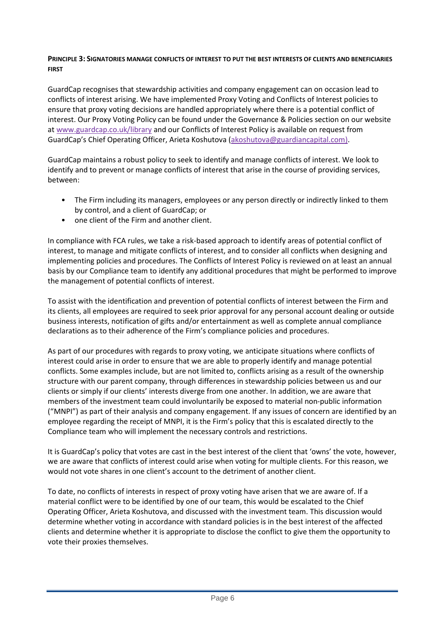### **PRINCIPLE 3: SIGNATORIES MANAGE CONFLICTS OF INTEREST TO PUT THE BEST INTERESTS OF CLIENTS AND BENEFICIARIES FIRST**

GuardCap recognises that stewardship activities and company engagement can on occasion lead to conflicts of interest arising. We have implemented Proxy Voting and Conflicts of Interest policies to ensure that proxy voting decisions are handled appropriately where there is a potential conflict of interest. Our Proxy Voting Policy can be found under the Governance & Policies section on our website at [www.guardcap.co.uk/library](http://www.guardcap.co.uk/library) and our Conflicts of Interest Policy is available on request from GuardCap's Chief Operating Officer, Arieta Koshutova [\(akoshutova@guardiancapital.com\)](mailto:akoshutova@guardiancapital.com).

GuardCap maintains a robust policy to seek to identify and manage conflicts of interest. We look to identify and to prevent or manage conflicts of interest that arise in the course of providing services, between:

- The Firm including its managers, employees or any person directly or indirectly linked to them by control, and a client of GuardCap; or
- one client of the Firm and another client.

In compliance with FCA rules, we take a risk-based approach to identify areas of potential conflict of interest, to manage and mitigate conflicts of interest, and to consider all conflicts when designing and implementing policies and procedures. The Conflicts of Interest Policy is reviewed on at least an annual basis by our Compliance team to identify any additional procedures that might be performed to improve the management of potential conflicts of interest.

To assist with the identification and prevention of potential conflicts of interest between the Firm and its clients, all employees are required to seek prior approval for any personal account dealing or outside business interests, notification of gifts and/or entertainment as well as complete annual compliance declarations as to their adherence of the Firm's compliance policies and procedures.

As part of our procedures with regards to proxy voting, we anticipate situations where conflicts of interest could arise in order to ensure that we are able to properly identify and manage potential conflicts. Some examples include, but are not limited to, conflicts arising as a result of the ownership structure with our parent company, through differences in stewardship policies between us and our clients or simply if our clients' interests diverge from one another. In addition, we are aware that members of the investment team could involuntarily be exposed to material non-public information ("MNPI") as part of their analysis and company engagement. If any issues of concern are identified by an employee regarding the receipt of MNPI, it is the Firm's policy that this is escalated directly to the Compliance team who will implement the necessary controls and restrictions.

It is GuardCap's policy that votes are cast in the best interest of the client that 'owns' the vote, however, we are aware that conflicts of interest could arise when voting for multiple clients. For this reason, we would not vote shares in one client's account to the detriment of another client.

To date, no conflicts of interests in respect of proxy voting have arisen that we are aware of. If a material conflict were to be identified by one of our team, this would be escalated to the Chief Operating Officer, Arieta Koshutova, and discussed with the investment team. This discussion would determine whether voting in accordance with standard policies is in the best interest of the affected clients and determine whether it is appropriate to disclose the conflict to give them the opportunity to vote their proxies themselves.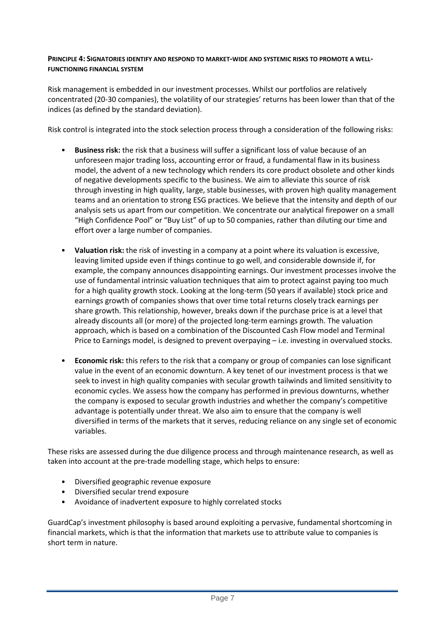### **PRINCIPLE 4: SIGNATORIES IDENTIFY AND RESPOND TO MARKET-WIDE AND SYSTEMIC RISKS TO PROMOTE A WELL-FUNCTIONING FINANCIAL SYSTEM**

Risk management is embedded in our investment processes. Whilst our portfolios are relatively concentrated (20-30 companies), the volatility of our strategies' returns has been lower than that of the indices (as defined by the standard deviation).

Risk control is integrated into the stock selection process through a consideration of the following risks:

- **Business risk:** the risk that a business will suffer a significant loss of value because of an unforeseen major trading loss, accounting error or fraud, a fundamental flaw in its business model, the advent of a new technology which renders its core product obsolete and other kinds of negative developments specific to the business. We aim to alleviate this source of risk through investing in high quality, large, stable businesses, with proven high quality management teams and an orientation to strong ESG practices. We believe that the intensity and depth of our analysis sets us apart from our competition. We concentrate our analytical firepower on a small "High Confidence Pool" or "Buy List" of up to 50 companies, rather than diluting our time and effort over a large number of companies.
- **Valuation risk:** the risk of investing in a company at a point where its valuation is excessive, leaving limited upside even if things continue to go well, and considerable downside if, for example, the company announces disappointing earnings. Our investment processes involve the use of fundamental intrinsic valuation techniques that aim to protect against paying too much for a high quality growth stock. Looking at the long-term (50 years if available) stock price and earnings growth of companies shows that over time total returns closely track earnings per share growth. This relationship, however, breaks down if the purchase price is at a level that already discounts all (or more) of the projected long-term earnings growth. The valuation approach, which is based on a combination of the Discounted Cash Flow model and Terminal Price to Earnings model, is designed to prevent overpaying – i.e. investing in overvalued stocks.
- **Economic risk:** this refers to the risk that a company or group of companies can lose significant value in the event of an economic downturn. A key tenet of our investment process is that we seek to invest in high quality companies with secular growth tailwinds and limited sensitivity to economic cycles. We assess how the company has performed in previous downturns, whether the company is exposed to secular growth industries and whether the company's competitive advantage is potentially under threat. We also aim to ensure that the company is well diversified in terms of the markets that it serves, reducing reliance on any single set of economic variables.

These risks are assessed during the due diligence process and through maintenance research, as well as taken into account at the pre-trade modelling stage, which helps to ensure:

- Diversified geographic revenue exposure
- Diversified secular trend exposure
- Avoidance of inadvertent exposure to highly correlated stocks

GuardCap's investment philosophy is based around exploiting a pervasive, fundamental shortcoming in financial markets, which is that the information that markets use to attribute value to companies is short term in nature.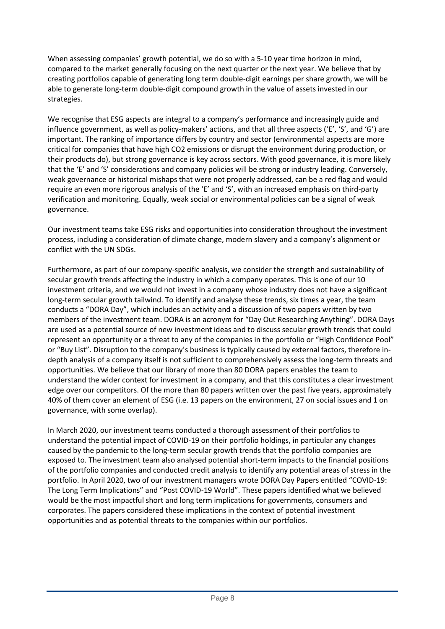When assessing companies' growth potential, we do so with a 5-10 year time horizon in mind, compared to the market generally focusing on the next quarter or the next year. We believe that by creating portfolios capable of generating long term double-digit earnings per share growth, we will be able to generate long-term double-digit compound growth in the value of assets invested in our strategies.

We recognise that ESG aspects are integral to a company's performance and increasingly guide and influence government, as well as policy-makers' actions, and that all three aspects ('E', 'S', and 'G') are important. The ranking of importance differs by country and sector (environmental aspects are more critical for companies that have high CO2 emissions or disrupt the environment during production, or their products do), but strong governance is key across sectors. With good governance, it is more likely that the 'E' and 'S' considerations and company policies will be strong or industry leading. Conversely, weak governance or historical mishaps that were not properly addressed, can be a red flag and would require an even more rigorous analysis of the 'E' and 'S', with an increased emphasis on third-party verification and monitoring. Equally, weak social or environmental policies can be a signal of weak governance.

Our investment teams take ESG risks and opportunities into consideration throughout the investment process, including a consideration of climate change, modern slavery and a company's alignment or conflict with the UN SDGs.

Furthermore, as part of our company-specific analysis, we consider the strength and sustainability of secular growth trends affecting the industry in which a company operates. This is one of our 10 investment criteria, and we would not invest in a company whose industry does not have a significant long-term secular growth tailwind. To identify and analyse these trends, six times a year, the team conducts a "DORA Day", which includes an activity and a discussion of two papers written by two members of the investment team. DORA is an acronym for "Day Out Researching Anything". DORA Days are used as a potential source of new investment ideas and to discuss secular growth trends that could represent an opportunity or a threat to any of the companies in the portfolio or "High Confidence Pool" or "Buy List". Disruption to the company's business is typically caused by external factors, therefore indepth analysis of a company itself is not sufficient to comprehensively assess the long-term threats and opportunities. We believe that our library of more than 80 DORA papers enables the team to understand the wider context for investment in a company, and that this constitutes a clear investment edge over our competitors. Of the more than 80 papers written over the past five years, approximately 40% of them cover an element of ESG (i.e. 13 papers on the environment, 27 on social issues and 1 on governance, with some overlap).

In March 2020, our investment teams conducted a thorough assessment of their portfolios to understand the potential impact of COVID-19 on their portfolio holdings, in particular any changes caused by the pandemic to the long-term secular growth trends that the portfolio companies are exposed to. The investment team also analysed potential short-term impacts to the financial positions of the portfolio companies and conducted credit analysis to identify any potential areas of stress in the portfolio. In April 2020, two of our investment managers wrote DORA Day Papers entitled "COVID-19: The Long Term Implications" and "Post COVID-19 World". These papers identified what we believed would be the most impactful short and long term implications for governments, consumers and corporates. The papers considered these implications in the context of potential investment opportunities and as potential threats to the companies within our portfolios.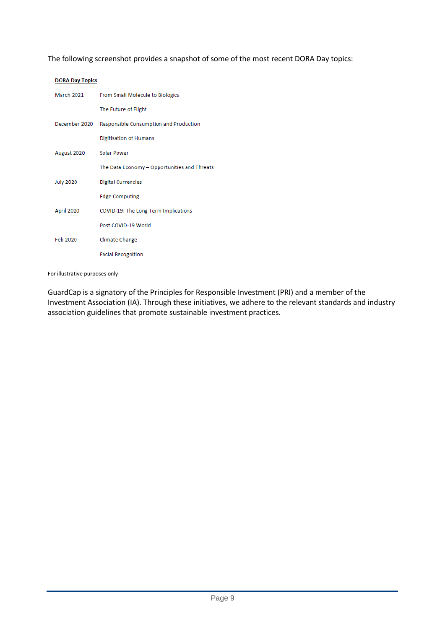The following screenshot provides a snapshot of some of the most recent DORA Day topics:

| <b>DORA Day Topics</b> |                                              |  |
|------------------------|----------------------------------------------|--|
| March 2021             | From Small Molecule to Biologics             |  |
|                        | The Future of Flight                         |  |
| December 2020          | Responsible Consumption and Production       |  |
|                        | Digitisation of Humans                       |  |
| August 2020            | Solar Power                                  |  |
|                        | The Data Economy - Opportunities and Threats |  |
| <b>July 2020</b>       | <b>Digital Currencies</b>                    |  |
|                        | <b>Edge Computing</b>                        |  |
| April 2020             | COVID-19: The Long Term Implications         |  |
|                        | Post COVID-19 World                          |  |
| Feb 2020               | Climate Change                               |  |
|                        | <b>Facial Recognition</b>                    |  |

For illustrative purposes only

GuardCap is a signatory of the Principles for Responsible Investment (PRI) and a member of the Investment Association (IA). Through these initiatives, we adhere to the relevant standards and industry association guidelines that promote sustainable investment practices.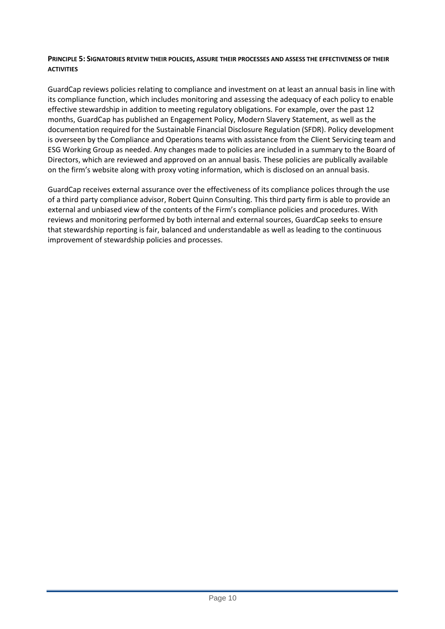### **PRINCIPLE 5: SIGNATORIES REVIEW THEIR POLICIES, ASSURE THEIR PROCESSES AND ASSESS THE EFFECTIVENESS OF THEIR ACTIVITIES**

GuardCap reviews policies relating to compliance and investment on at least an annual basis in line with its compliance function, which includes monitoring and assessing the adequacy of each policy to enable effective stewardship in addition to meeting regulatory obligations. For example, over the past 12 months, GuardCap has published an Engagement Policy, Modern Slavery Statement, as well as the documentation required for the Sustainable Financial Disclosure Regulation (SFDR). Policy development is overseen by the Compliance and Operations teams with assistance from the Client Servicing team and ESG Working Group as needed. Any changes made to policies are included in a summary to the Board of Directors, which are reviewed and approved on an annual basis. These policies are publically available on the firm's website along with proxy voting information, which is disclosed on an annual basis.

GuardCap receives external assurance over the effectiveness of its compliance polices through the use of a third party compliance advisor, Robert Quinn Consulting. This third party firm is able to provide an external and unbiased view of the contents of the Firm's compliance policies and procedures. With reviews and monitoring performed by both internal and external sources, GuardCap seeks to ensure that stewardship reporting is fair, balanced and understandable as well as leading to the continuous improvement of stewardship policies and processes.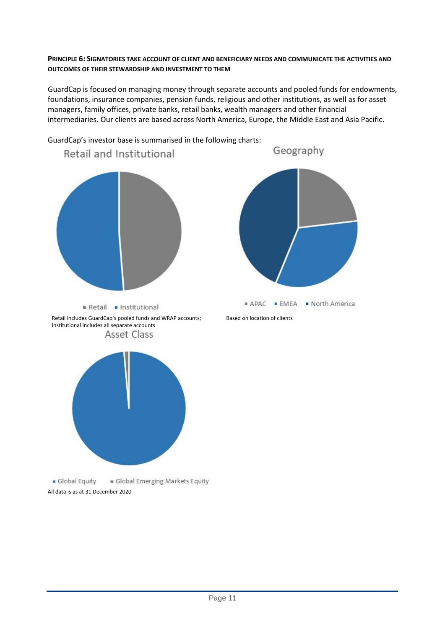### **PRINCIPLE 6: SIGNATORIES TAKE ACCOUNT OF CLIENT AND BENEFICIARY NEEDS AND COMMUNICATE THE ACTIVITIES AND OUTCOMES OF THEIR STEWARDSHIP AND INVESTMENT TO THEM**

GuardCap is focused on managing money through separate accounts and pooled funds for endowments, foundations, insurance companies, pension funds, religious and other institutions, as well as for asset managers, family offices, private banks, retail banks, wealth managers and other financial intermediaries. Our clients are based across North America, Europe, the Middle East and Asia Pacific.

GuardCap's investor base is summarised in the following charts:



Global Equity Global Emerging Markets Equity All data is as at 31 December 2020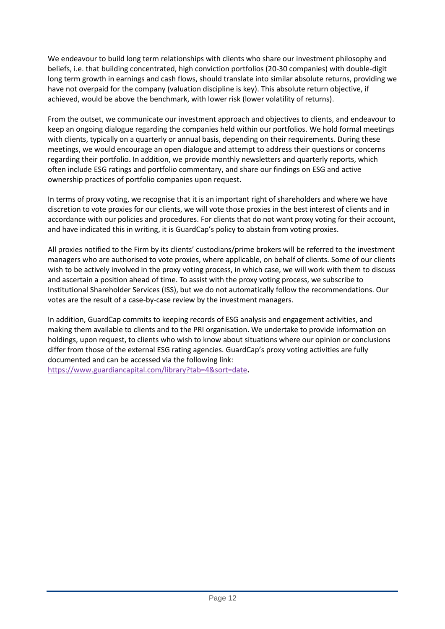We endeavour to build long term relationships with clients who share our investment philosophy and beliefs, i.e. that building concentrated, high conviction portfolios (20-30 companies) with double-digit long term growth in earnings and cash flows, should translate into similar absolute returns, providing we have not overpaid for the company (valuation discipline is key). This absolute return objective, if achieved, would be above the benchmark, with lower risk (lower volatility of returns).

From the outset, we communicate our investment approach and objectives to clients, and endeavour to keep an ongoing dialogue regarding the companies held within our portfolios. We hold formal meetings with clients, typically on a quarterly or annual basis, depending on their requirements. During these meetings, we would encourage an open dialogue and attempt to address their questions or concerns regarding their portfolio. In addition, we provide monthly newsletters and quarterly reports, which often include ESG ratings and portfolio commentary, and share our findings on ESG and active ownership practices of portfolio companies upon request.

In terms of proxy voting, we recognise that it is an important right of shareholders and where we have discretion to vote proxies for our clients, we will vote those proxies in the best interest of clients and in accordance with our policies and procedures. For clients that do not want proxy voting for their account, and have indicated this in writing, it is GuardCap's policy to abstain from voting proxies.

All proxies notified to the Firm by its clients' custodians/prime brokers will be referred to the investment managers who are authorised to vote proxies, where applicable, on behalf of clients. Some of our clients wish to be actively involved in the proxy voting process, in which case, we will work with them to discuss and ascertain a position ahead of time. To assist with the proxy voting process, we subscribe to Institutional Shareholder Services (ISS), but we do not automatically follow the recommendations. Our votes are the result of a case-by-case review by the investment managers.

In addition, GuardCap commits to keeping records of ESG analysis and engagement activities, and making them available to clients and to the PRI organisation. We undertake to provide information on holdings, upon request, to clients who wish to know about situations where our opinion or conclusions differ from those of the external ESG rating agencies. GuardCap's proxy voting activities are fully documented and can be accessed via the following link: <https://www.guardiancapital.com/library?tab=4&sort=date>**.**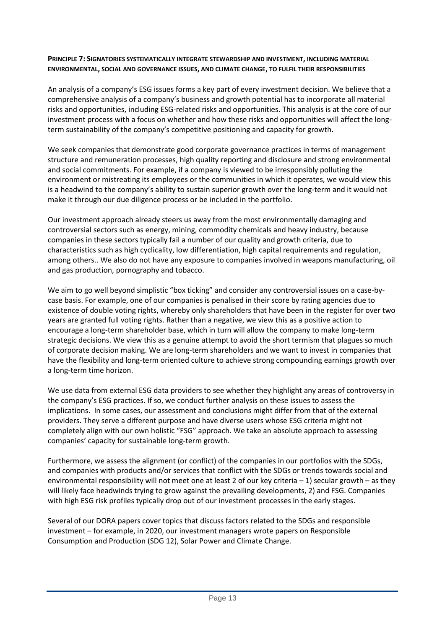### **PRINCIPLE 7: SIGNATORIES SYSTEMATICALLY INTEGRATE STEWARDSHIP AND INVESTMENT, INCLUDING MATERIAL ENVIRONMENTAL, SOCIAL AND GOVERNANCE ISSUES, AND CLIMATE CHANGE, TO FULFIL THEIR RESPONSIBILITIES**

An analysis of a company's ESG issues forms a key part of every investment decision. We believe that a comprehensive analysis of a company's business and growth potential has to incorporate all material risks and opportunities, including ESG-related risks and opportunities. This analysis is at the core of our investment process with a focus on whether and how these risks and opportunities will affect the longterm sustainability of the company's competitive positioning and capacity for growth.

We seek companies that demonstrate good corporate governance practices in terms of management structure and remuneration processes, high quality reporting and disclosure and strong environmental and social commitments. For example, if a company is viewed to be irresponsibly polluting the environment or mistreating its employees or the communities in which it operates, we would view this is a headwind to the company's ability to sustain superior growth over the long-term and it would not make it through our due diligence process or be included in the portfolio.

Our investment approach already steers us away from the most environmentally damaging and controversial sectors such as energy, mining, commodity chemicals and heavy industry, because companies in these sectors typically fail a number of our quality and growth criteria, due to characteristics such as high cyclicality, low differentiation, high capital requirements and regulation, among others.. We also do not have any exposure to companies involved in weapons manufacturing, oil and gas production, pornography and tobacco.

We aim to go well beyond simplistic "box ticking" and consider any controversial issues on a case-bycase basis. For example, one of our companies is penalised in their score by rating agencies due to existence of double voting rights, whereby only shareholders that have been in the register for over two years are granted full voting rights. Rather than a negative, we view this as a positive action to encourage a long-term shareholder base, which in turn will allow the company to make long-term strategic decisions. We view this as a genuine attempt to avoid the short termism that plagues so much of corporate decision making. We are long-term shareholders and we want to invest in companies that have the flexibility and long-term oriented culture to achieve strong compounding earnings growth over a long-term time horizon.

We use data from external ESG data providers to see whether they highlight any areas of controversy in the company's ESG practices. If so, we conduct further analysis on these issues to assess the implications. In some cases, our assessment and conclusions might differ from that of the external providers. They serve a different purpose and have diverse users whose ESG criteria might not completely align with our own holistic "FSG" approach. We take an absolute approach to assessing companies' capacity for sustainable long-term growth.

Furthermore, we assess the alignment (or conflict) of the companies in our portfolios with the SDGs, and companies with products and/or services that conflict with the SDGs or trends towards social and environmental responsibility will not meet one at least 2 of our key criteria – 1) secular growth – as they will likely face headwinds trying to grow against the prevailing developments, 2) and FSG. Companies with high ESG risk profiles typically drop out of our investment processes in the early stages.

Several of our DORA papers cover topics that discuss factors related to the SDGs and responsible investment – for example, in 2020, our investment managers wrote papers on Responsible Consumption and Production (SDG 12), Solar Power and Climate Change.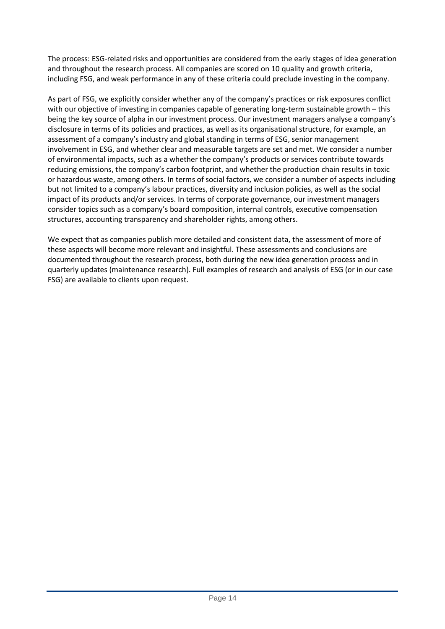The process: ESG-related risks and opportunities are considered from the early stages of idea generation and throughout the research process. All companies are scored on 10 quality and growth criteria, including FSG, and weak performance in any of these criteria could preclude investing in the company.

As part of FSG, we explicitly consider whether any of the company's practices or risk exposures conflict with our objective of investing in companies capable of generating long-term sustainable growth – this being the key source of alpha in our investment process. Our investment managers analyse a company's disclosure in terms of its policies and practices, as well as its organisational structure, for example, an assessment of a company's industry and global standing in terms of ESG, senior management involvement in ESG, and whether clear and measurable targets are set and met. We consider a number of environmental impacts, such as a whether the company's products or services contribute towards reducing emissions, the company's carbon footprint, and whether the production chain results in toxic or hazardous waste, among others. In terms of social factors, we consider a number of aspects including but not limited to a company's labour practices, diversity and inclusion policies, as well as the social impact of its products and/or services. In terms of corporate governance, our investment managers consider topics such as a company's board composition, internal controls, executive compensation structures, accounting transparency and shareholder rights, among others.

We expect that as companies publish more detailed and consistent data, the assessment of more of these aspects will become more relevant and insightful. These assessments and conclusions are documented throughout the research process, both during the new idea generation process and in quarterly updates (maintenance research). Full examples of research and analysis of ESG (or in our case FSG) are available to clients upon request.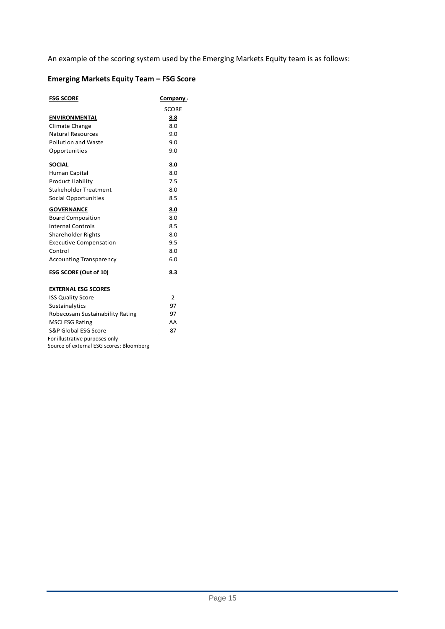An example of the scoring system used by the Emerging Markets Equity team is as follows:

# **Emerging Markets Equity Team – FSG Score**

| <b>FSG SCORE</b>                         | Company        |  |
|------------------------------------------|----------------|--|
|                                          | <b>SCORE</b>   |  |
| <b>ENVIRONMENTAL</b>                     | 8.8            |  |
| Climate Change                           | 8.0            |  |
| <b>Natural Resources</b>                 | 9.0            |  |
| <b>Pollution and Waste</b>               | 9.0            |  |
| Opportunities                            | 9.0            |  |
| <b>SOCIAL</b>                            | 8.0            |  |
| Human Capital                            | 8.0            |  |
| <b>Product Liability</b>                 | 7.5            |  |
| <b>Stakeholder Treatment</b>             | 8.0            |  |
| Social Opportunities                     | 8.5            |  |
| <b>GOVERNANCE</b>                        | 8.0            |  |
| <b>Board Composition</b>                 | 8.0            |  |
| <b>Internal Controls</b>                 | 8.5            |  |
| <b>Shareholder Rights</b>                | 8.0            |  |
| <b>Executive Compensation</b>            | 9.5            |  |
| Control                                  | 8.0            |  |
| <b>Accounting Transparency</b>           | 6.0            |  |
| <b>ESG SCORE (Out of 10)</b>             | 8.3            |  |
| <b>EXTERNAL ESG SCORES</b>               |                |  |
| <b>ISS Quality Score</b>                 | $\overline{2}$ |  |
| Sustainalytics                           | 97             |  |
| Robecosam Sustainability Rating          | 97             |  |
| <b>MSCI ESG Rating</b>                   | AA             |  |
| S&P Global ESG Score                     | 87             |  |
| For illustrative purposes only           |                |  |
| Source of external ESG scores: Bloomberg |                |  |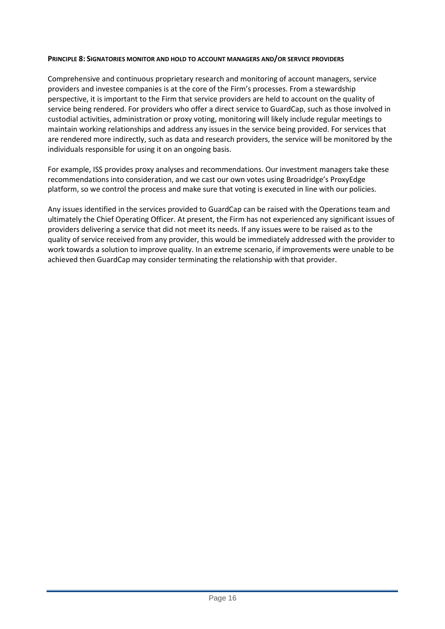### **PRINCIPLE 8: SIGNATORIES MONITOR AND HOLD TO ACCOUNT MANAGERS AND/OR SERVICE PROVIDERS**

Comprehensive and continuous proprietary research and monitoring of account managers, service providers and investee companies is at the core of the Firm's processes. From a stewardship perspective, it is important to the Firm that service providers are held to account on the quality of service being rendered. For providers who offer a direct service to GuardCap, such as those involved in custodial activities, administration or proxy voting, monitoring will likely include regular meetings to maintain working relationships and address any issues in the service being provided. For services that are rendered more indirectly, such as data and research providers, the service will be monitored by the individuals responsible for using it on an ongoing basis.

For example, ISS provides proxy analyses and recommendations. Our investment managers take these recommendations into consideration, and we cast our own votes using Broadridge's ProxyEdge platform, so we control the process and make sure that voting is executed in line with our policies.

Any issues identified in the services provided to GuardCap can be raised with the Operations team and ultimately the Chief Operating Officer. At present, the Firm has not experienced any significant issues of providers delivering a service that did not meet its needs. If any issues were to be raised as to the quality of service received from any provider, this would be immediately addressed with the provider to work towards a solution to improve quality. In an extreme scenario, if improvements were unable to be achieved then GuardCap may consider terminating the relationship with that provider.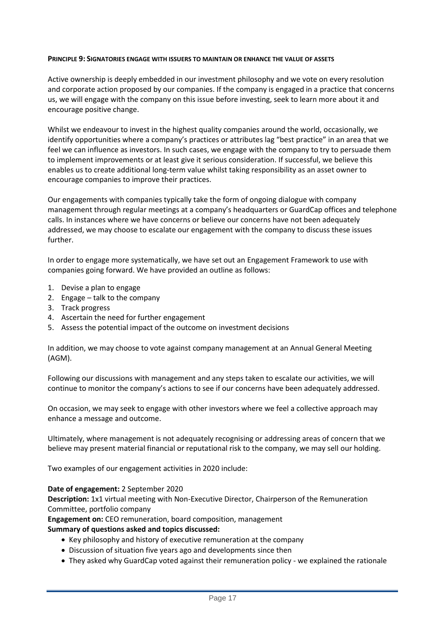### **PRINCIPLE 9: SIGNATORIES ENGAGE WITH ISSUERS TO MAINTAIN OR ENHANCE THE VALUE OF ASSETS**

Active ownership is deeply embedded in our investment philosophy and we vote on every resolution and corporate action proposed by our companies. If the company is engaged in a practice that concerns us, we will engage with the company on this issue before investing, seek to learn more about it and encourage positive change.

Whilst we endeavour to invest in the highest quality companies around the world, occasionally, we identify opportunities where a company's practices or attributes lag "best practice" in an area that we feel we can influence as investors. In such cases, we engage with the company to try to persuade them to implement improvements or at least give it serious consideration. If successful, we believe this enables us to create additional long-term value whilst taking responsibility as an asset owner to encourage companies to improve their practices.

Our engagements with companies typically take the form of ongoing dialogue with company management through regular meetings at a company's headquarters or GuardCap offices and telephone calls. In instances where we have concerns or believe our concerns have not been adequately addressed, we may choose to escalate our engagement with the company to discuss these issues further.

In order to engage more systematically, we have set out an Engagement Framework to use with companies going forward. We have provided an outline as follows:

- 1. Devise a plan to engage
- 2. Engage talk to the company
- 3. Track progress
- 4. Ascertain the need for further engagement
- 5. Assess the potential impact of the outcome on investment decisions

In addition, we may choose to vote against company management at an Annual General Meeting (AGM).

Following our discussions with management and any steps taken to escalate our activities, we will continue to monitor the company's actions to see if our concerns have been adequately addressed.

On occasion, we may seek to engage with other investors where we feel a collective approach may enhance a message and outcome.

Ultimately, where management is not adequately recognising or addressing areas of concern that we believe may present material financial or reputational risk to the company, we may sell our holding.

Two examples of our engagement activities in 2020 include:

#### **Date of engagement:** 2 September 2020

**Description:** 1x1 virtual meeting with Non-Executive Director, Chairperson of the Remuneration Committee, portfolio company

**Engagement on:** CEO remuneration, board composition, management **Summary of questions asked and topics discussed:**

- Key philosophy and history of executive remuneration at the company
- Discussion of situation five years ago and developments since then
- They asked why GuardCap voted against their remuneration policy we explained the rationale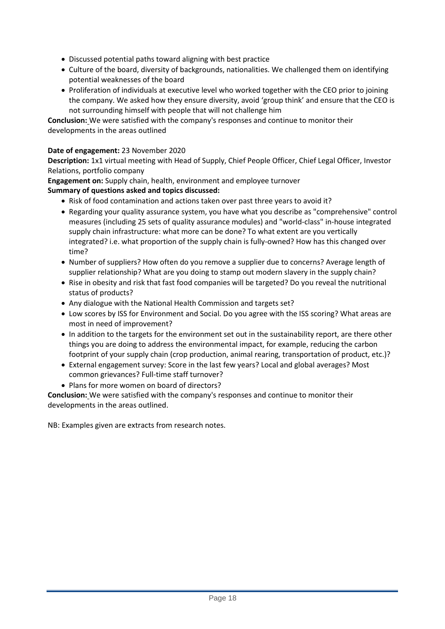- Discussed potential paths toward aligning with best practice
- Culture of the board, diversity of backgrounds, nationalities. We challenged them on identifying potential weaknesses of the board
- Proliferation of individuals at executive level who worked together with the CEO prior to joining the company. We asked how they ensure diversity, avoid 'group think' and ensure that the CEO is not surrounding himself with people that will not challenge him

**Conclusion:** We were satisfied with the company's responses and continue to monitor their developments in the areas outlined

# **Date of engagement:** 23 November 2020

**Description:** 1x1 virtual meeting with Head of Supply, Chief People Officer, Chief Legal Officer, Investor Relations, portfolio company

**Engagement on:** Supply chain, health, environment and employee turnover

# **Summary of questions asked and topics discussed:**

- Risk of food contamination and actions taken over past three years to avoid it?
- Regarding your quality assurance system, you have what you describe as "comprehensive" control measures (including 25 sets of quality assurance modules) and "world-class" in-house integrated supply chain infrastructure: what more can be done? To what extent are you vertically integrated? i.e. what proportion of the supply chain is fully-owned? How has this changed over time?
- Number of suppliers? How often do you remove a supplier due to concerns? Average length of supplier relationship? What are you doing to stamp out modern slavery in the supply chain?
- Rise in obesity and risk that fast food companies will be targeted? Do you reveal the nutritional status of products?
- Any dialogue with the National Health Commission and targets set?
- Low scores by ISS for Environment and Social. Do you agree with the ISS scoring? What areas are most in need of improvement?
- In addition to the targets for the environment set out in the sustainability report, are there other things you are doing to address the environmental impact, for example, reducing the carbon footprint of your supply chain (crop production, animal rearing, transportation of product, etc.)?
- External engagement survey: Score in the last few years? Local and global averages? Most common grievances? Full-time staff turnover?
- Plans for more women on board of directors?

**Conclusion:** We were satisfied with the company's responses and continue to monitor their developments in the areas outlined.

NB: Examples given are extracts from research notes.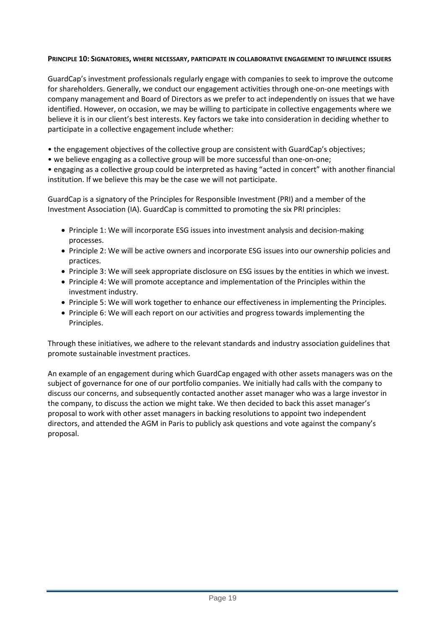### **PRINCIPLE 10: SIGNATORIES, WHERE NECESSARY, PARTICIPATE IN COLLABORATIVE ENGAGEMENT TO INFLUENCE ISSUERS**

GuardCap's investment professionals regularly engage with companies to seek to improve the outcome for shareholders. Generally, we conduct our engagement activities through one-on-one meetings with company management and Board of Directors as we prefer to act independently on issues that we have identified. However, on occasion, we may be willing to participate in collective engagements where we believe it is in our client's best interests. Key factors we take into consideration in deciding whether to participate in a collective engagement include whether:

• the engagement objectives of the collective group are consistent with GuardCap's objectives;

• we believe engaging as a collective group will be more successful than one-on-one;

• engaging as a collective group could be interpreted as having "acted in concert" with another financial institution. If we believe this may be the case we will not participate.

GuardCap is a signatory of the Principles for Responsible Investment (PRI) and a member of the Investment Association (IA). GuardCap is committed to promoting the six PRI principles:

- Principle 1: We will incorporate ESG issues into investment analysis and decision-making processes.
- Principle 2: We will be active owners and incorporate ESG issues into our ownership policies and practices.
- Principle 3: We will seek appropriate disclosure on ESG issues by the entities in which we invest.
- Principle 4: We will promote acceptance and implementation of the Principles within the investment industry.
- Principle 5: We will work together to enhance our effectiveness in implementing the Principles.
- Principle 6: We will each report on our activities and progress towards implementing the Principles.

Through these initiatives, we adhere to the relevant standards and industry association guidelines that promote sustainable investment practices.

An example of an engagement during which GuardCap engaged with other assets managers was on the subject of governance for one of our portfolio companies. We initially had calls with the company to discuss our concerns, and subsequently contacted another asset manager who was a large investor in the company, to discuss the action we might take. We then decided to back this asset manager's proposal to work with other asset managers in backing resolutions to appoint two independent directors, and attended the AGM in Paris to publicly ask questions and vote against the company's proposal.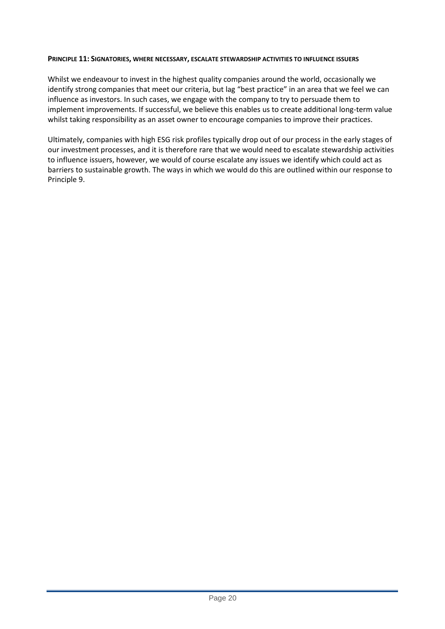### **PRINCIPLE 11: SIGNATORIES, WHERE NECESSARY, ESCALATE STEWARDSHIP ACTIVITIES TO INFLUENCE ISSUERS**

Whilst we endeavour to invest in the highest quality companies around the world, occasionally we identify strong companies that meet our criteria, but lag "best practice" in an area that we feel we can influence as investors. In such cases, we engage with the company to try to persuade them to implement improvements. If successful, we believe this enables us to create additional long-term value whilst taking responsibility as an asset owner to encourage companies to improve their practices.

Ultimately, companies with high ESG risk profiles typically drop out of our process in the early stages of our investment processes, and it is therefore rare that we would need to escalate stewardship activities to influence issuers, however, we would of course escalate any issues we identify which could act as barriers to sustainable growth. The ways in which we would do this are outlined within our response to Principle 9.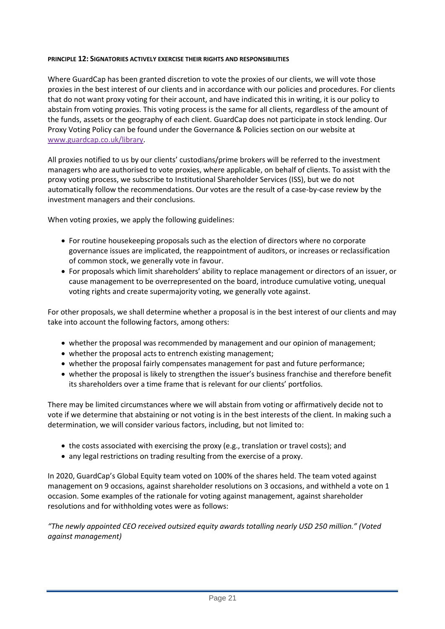### **PRINCIPLE 12: SIGNATORIES ACTIVELY EXERCISE THEIR RIGHTS AND RESPONSIBILITIES**

Where GuardCap has been granted discretion to vote the proxies of our clients, we will vote those proxies in the best interest of our clients and in accordance with our policies and procedures. For clients that do not want proxy voting for their account, and have indicated this in writing, it is our policy to abstain from voting proxies. This voting process is the same for all clients, regardless of the amount of the funds, assets or the geography of each client. GuardCap does not participate in stock lending. Our Proxy Voting Policy can be found under the Governance & Policies section on our website at [www.guardcap.co.uk/library.](http://www.guardcap.co.uk/library)

All proxies notified to us by our clients' custodians/prime brokers will be referred to the investment managers who are authorised to vote proxies, where applicable, on behalf of clients. To assist with the proxy voting process, we subscribe to Institutional Shareholder Services (ISS), but we do not automatically follow the recommendations. Our votes are the result of a case-by-case review by the investment managers and their conclusions.

When voting proxies, we apply the following guidelines:

- For routine housekeeping proposals such as the election of directors where no corporate governance issues are implicated, the reappointment of auditors, or increases or reclassification of common stock, we generally vote in favour.
- For proposals which limit shareholders' ability to replace management or directors of an issuer, or cause management to be overrepresented on the board, introduce cumulative voting, unequal voting rights and create supermajority voting, we generally vote against.

For other proposals, we shall determine whether a proposal is in the best interest of our clients and may take into account the following factors, among others:

- whether the proposal was recommended by management and our opinion of management;
- whether the proposal acts to entrench existing management;
- whether the proposal fairly compensates management for past and future performance;
- whether the proposal is likely to strengthen the issuer's business franchise and therefore benefit its shareholders over a time frame that is relevant for our clients' portfolios.

There may be limited circumstances where we will abstain from voting or affirmatively decide not to vote if we determine that abstaining or not voting is in the best interests of the client. In making such a determination, we will consider various factors, including, but not limited to:

- the costs associated with exercising the proxy (e.g., translation or travel costs); and
- any legal restrictions on trading resulting from the exercise of a proxy.

In 2020, GuardCap's Global Equity team voted on 100% of the shares held. The team voted against management on 9 occasions, against shareholder resolutions on 3 occasions, and withheld a vote on 1 occasion. Some examples of the rationale for voting against management, against shareholder resolutions and for withholding votes were as follows:

*"The newly appointed CEO received outsized equity awards totalling nearly USD 250 million." (Voted against management)*